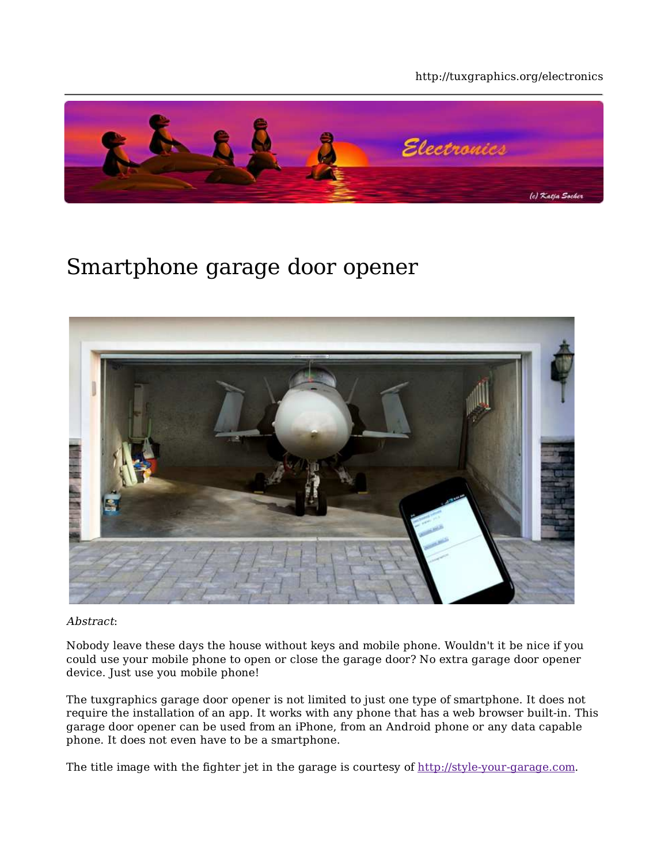#### http://tuxgraphics.org/electronics



#### Smartphone garage door opener



Abstract:

Nobody leave these days the house without keys and mobile phone. Wouldn't it be nice if you could use your mobile phone to open or close the garage door? No extra garage door opener device. Just use you mobile phone!

The tuxgraphics garage door opener is not limited to just one type of smartphone. It does not require the installation of an app. It works with any phone that has a web browser built-in. This garage door opener can be used from an iPhone, from an Android phone or any data capable phone. It does not even have to be a smartphone.

The title image with the fighter jet in the garage is courtesy of http://style-your-garage.com.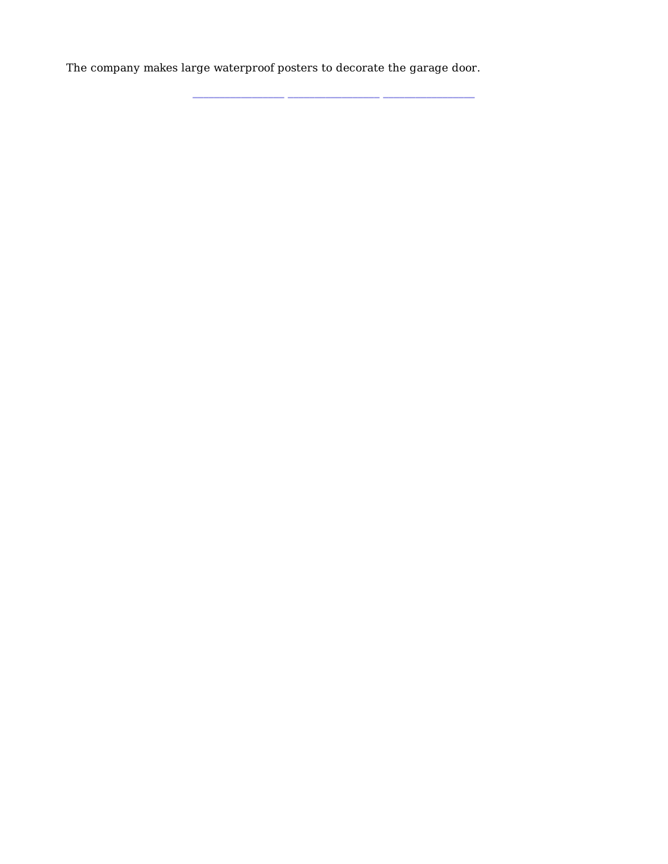The company makes large waterproof posters to decorate the garage door.

**\_\_\_\_\_\_\_\_\_\_\_\_\_\_\_\_\_ \_\_\_\_\_\_\_\_\_\_\_\_\_\_\_\_\_ \_\_\_\_\_\_\_\_\_\_\_\_\_\_\_\_\_**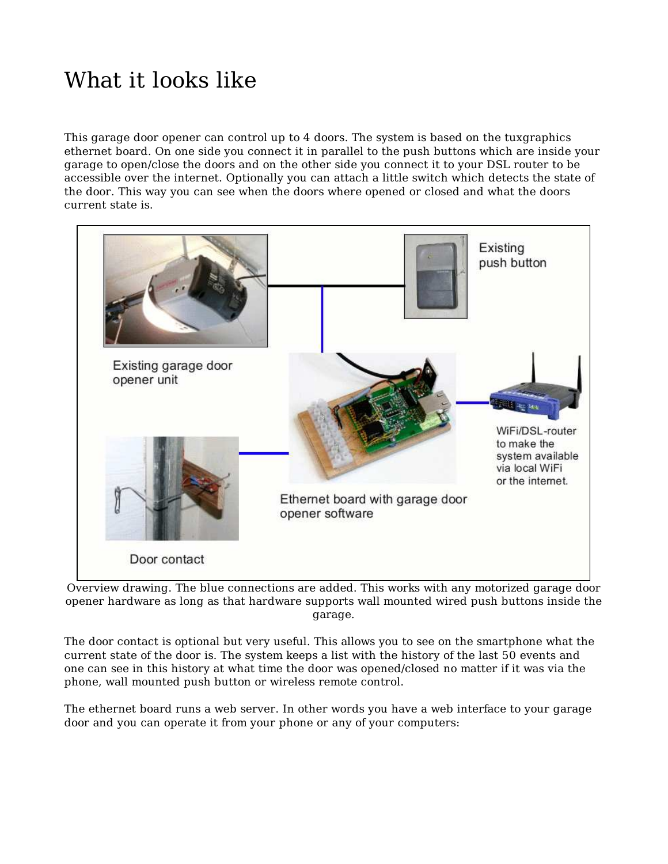# What it looks like

This garage door opener can control up to 4 doors. The system is based on the tuxgraphics ethernet board. On one side you connect it in parallel to the push buttons which are inside your garage to open/close the doors and on the other side you connect it to your DSL router to be accessible over the internet. Optionally you can attach a little switch which detects the state of the door. This way you can see when the doors where opened or closed and what the doors current state is.



Overview drawing. The blue connections are added. This works with any motorized garage door opener hardware as long as that hardware supports wall mounted wired push buttons inside the garage.

The door contact is optional but very useful. This allows you to see on the smartphone what the current state of the door is. The system keeps a list with the history of the last 50 events and one can see in this history at what time the door was opened/closed no matter if it was via the phone, wall mounted push button or wireless remote control.

The ethernet board runs a web server. In other words you have a web interface to your garage door and you can operate it from your phone or any of your computers: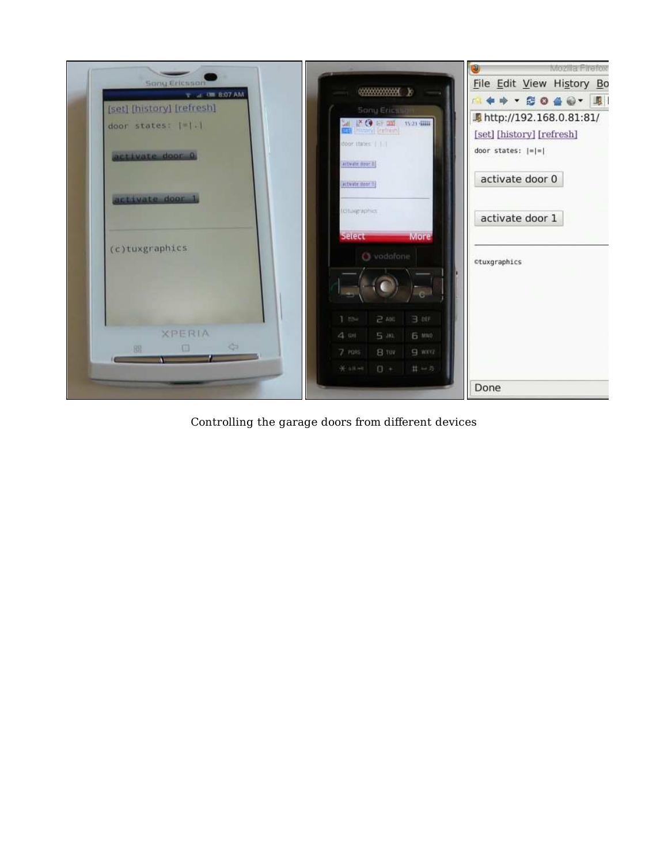

Controlling the garage doors from different devices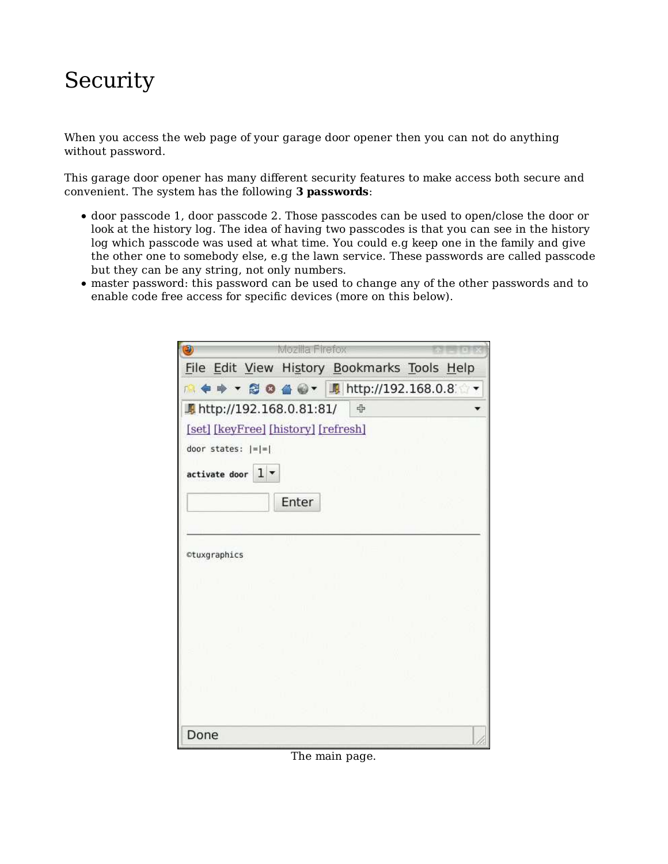#### Security

When you access the web page of your garage door opener then you can not do anything without password.

This garage door opener has many different security features to make access both secure and convenient. The system has the following **3 passwords**:

- door passcode 1, door passcode 2. Those passcodes can be used to open/close the door or look at the history log. The idea of having two passcodes is that you can see in the history log which passcode was used at what time. You could e.g keep one in the family and give the other one to somebody else, e.g the lawn service. These passwords are called passcode but they can be any string, not only numbers.
- master password: this password can be used to change any of the other passwords and to enable code free access for specific devices (more on this below).

| Э                                               | Mozilla Firefox |  |
|-------------------------------------------------|-----------------|--|
| File Edit View History Bookmarks Tools Help     |                 |  |
| <b>A + → · B O 4 0 · 用 http://192.168.0.8 ·</b> |                 |  |
| ■ http://192.168.0.81:81/ ●                     |                 |  |
| [set] [keyFree] [history] [refresh]             |                 |  |
| door states: $ = $ =                            |                 |  |
| activate door $1$ $\bullet$                     |                 |  |
|                                                 | Enter           |  |
|                                                 |                 |  |
| ctuxgraphics                                    |                 |  |
|                                                 |                 |  |
|                                                 |                 |  |
|                                                 |                 |  |
|                                                 |                 |  |
|                                                 |                 |  |
|                                                 |                 |  |
| Done                                            |                 |  |

The main page.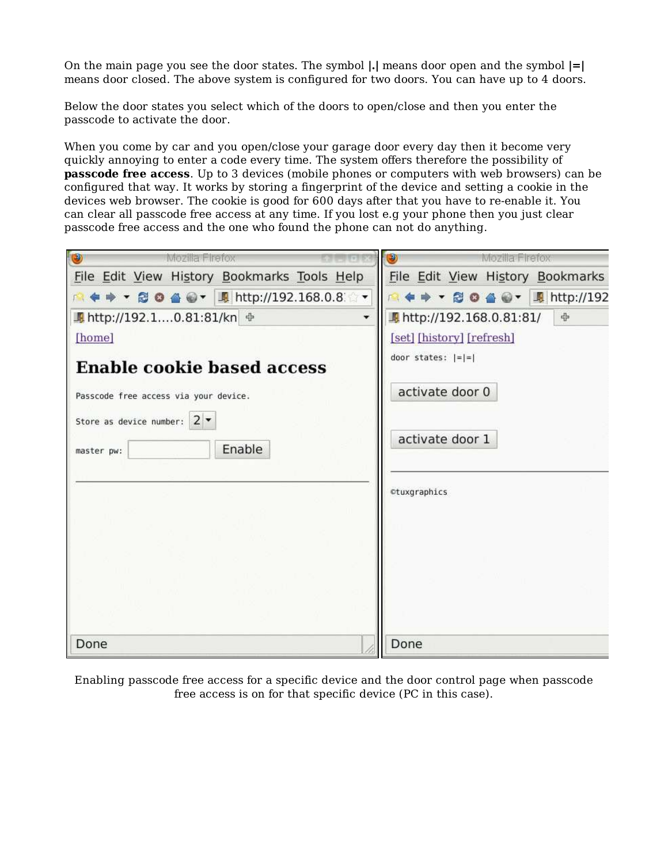On the main page you see the door states. The symbol **|.|** means door open and the symbol **|=|** means door closed. The above system is configured for two doors. You can have up to 4 doors.

Below the door states you select which of the doors to open/close and then you enter the passcode to activate the door.

When you come by car and you open/close your garage door every day then it become very quickly annoying to enter a code every time. The system offers therefore the possibility of **passcode free access**. Up to 3 devices (mobile phones or computers with web browsers) can be configured that way. It works by storing a fingerprint of the device and setting a cookie in the devices web browser. The cookie is good for 600 days after that you have to re-enable it. You can clear all passcode free access at any time. If you lost e.g your phone then you just clear passcode free access and the one who found the phone can not do anything.

| $\circledcirc$<br>Mozilla Firefox           | ◉                         | Mozilla Firefox |                                                                                                                                                                                         |
|---------------------------------------------|---------------------------|-----------------|-----------------------------------------------------------------------------------------------------------------------------------------------------------------------------------------|
| File Edit View History Bookmarks Tools Help |                           |                 | File Edit View History Bookmarks                                                                                                                                                        |
| A . + + B O 4 + E http://192.168.0.8        |                           |                 | $\blacksquare \Leftrightarrow \star \otimes \bullet \spadesuit \textcolor{red}{\otimes} \star \enspace \blacksquare \textcolor{red}{\blacksquare} \textcolor{red}{\textsf{http://192}}$ |
| ■ http://192.10.81:81/kn ÷                  | f http://192.168.0.81:81/ |                 | 4                                                                                                                                                                                       |
| [home]                                      | [set] [history] [refresh] |                 |                                                                                                                                                                                         |
| <b>Enable cookie based access</b>           | door states: $ = =$       |                 |                                                                                                                                                                                         |
| Passcode free access via your device.       | activate door 0           |                 |                                                                                                                                                                                         |
| Store as device number: $2 \times$          | activate door 1           |                 |                                                                                                                                                                                         |
| Enable<br>master pw:                        |                           |                 |                                                                                                                                                                                         |
|                                             | ©tuxgraphics              |                 |                                                                                                                                                                                         |
|                                             |                           |                 |                                                                                                                                                                                         |
|                                             |                           |                 |                                                                                                                                                                                         |
|                                             |                           |                 |                                                                                                                                                                                         |
|                                             |                           |                 |                                                                                                                                                                                         |
| Done                                        | Done                      |                 |                                                                                                                                                                                         |

Enabling passcode free access for a specific device and the door control page when passcode free access is on for that specific device (PC in this case).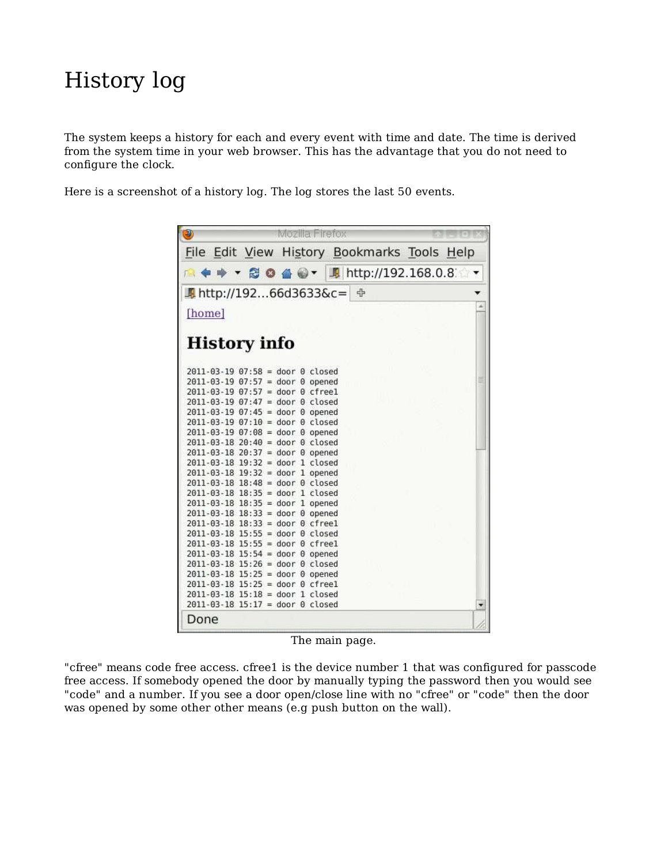#### History log

The system keeps a history for each and every event with time and date. The time is derived from the system time in your web browser. This has the advantage that you do not need to configure the clock.

Here is a screenshot of a history log. The log stores the last 50 events.

| $\bullet$<br>Mozilla Firefox                                                                                                                                                                                                                                                                                                                                                                                                                                                                                                                                                                                                                                                                                 |   |
|--------------------------------------------------------------------------------------------------------------------------------------------------------------------------------------------------------------------------------------------------------------------------------------------------------------------------------------------------------------------------------------------------------------------------------------------------------------------------------------------------------------------------------------------------------------------------------------------------------------------------------------------------------------------------------------------------------------|---|
| File Edit View History Bookmarks Tools Help                                                                                                                                                                                                                                                                                                                                                                                                                                                                                                                                                                                                                                                                  |   |
| <b>A + → ▼ 2 0 4 0 ▼ 5 http://192.168.0.8</b>                                                                                                                                                                                                                                                                                                                                                                                                                                                                                                                                                                                                                                                                |   |
|                                                                                                                                                                                                                                                                                                                                                                                                                                                                                                                                                                                                                                                                                                              |   |
| [home]                                                                                                                                                                                                                                                                                                                                                                                                                                                                                                                                                                                                                                                                                                       |   |
| <b>History info</b>                                                                                                                                                                                                                                                                                                                                                                                                                                                                                                                                                                                                                                                                                          |   |
| $2011 - 03 - 19$ $07:58 =$ door 0 closed<br>$2011 - 03 - 19$ $07:57 = door 0$ opened<br>$2011 - 03 - 19$ $07:57 =$ door 0 cfreel<br>$2011 - 03 - 19$ $07:47$ = door 0 closed<br>$2011 - 03 - 19$ $07:45$ = door 0 opened<br>$2011 - 03 - 19$ $07:10 =$ door 0 closed<br>$2011 - 03 - 19$ $07:08$ = door 0 opened<br>$2011 - 03 - 18$ $20:40 =$ door 0 closed                                                                                                                                                                                                                                                                                                                                                 |   |
| $2011 - 03 - 18$ $20:37 = door 0$ opened<br>$2011 - 03 - 18$ $19:32 =$ door 1 closed<br>$2011 - 03 - 18$ 19:32 = door 1 opened<br>$2011 - 03 - 18$ $18:48 =$ door 0 closed<br>$2011 - 03 - 18$ $18:35 =$ door 1 closed<br>$2011 - 03 - 18$ $18:35 =$ door 1 opened<br>$2011 - 03 - 18$ 18:33 = door 0 opened<br>$2011 - 03 - 18$ $18:33 = door 0$ cfreel<br>$2011 - 03 - 18$ 15:55 = door 0 closed<br>$2011 - 03 - 18$ 15:55 = door 0 cfreel<br>$2011 - 03 - 18$ 15:54 = door 0 opened<br>$2011 - 03 - 18$ 15:26 = door 0 closed<br>$2011 - 03 - 18$ 15:25 = door 0 opened<br>$2011 - 03 - 18$ 15:25 = door 0 cfreel<br>$2011 - 03 - 18$ $15:18 =$ door 1 closed<br>$2011 - 03 - 18$ $15:17 =$ door 0 closed | ۰ |
| Done                                                                                                                                                                                                                                                                                                                                                                                                                                                                                                                                                                                                                                                                                                         |   |

The main page.

"cfree" means code free access. cfree1 is the device number 1 that was configured for passcode free access. If somebody opened the door by manually typing the password then you would see "code" and a number. If you see a door open/close line with no "cfree" or "code" then the door was opened by some other other means (e.g push button on the wall).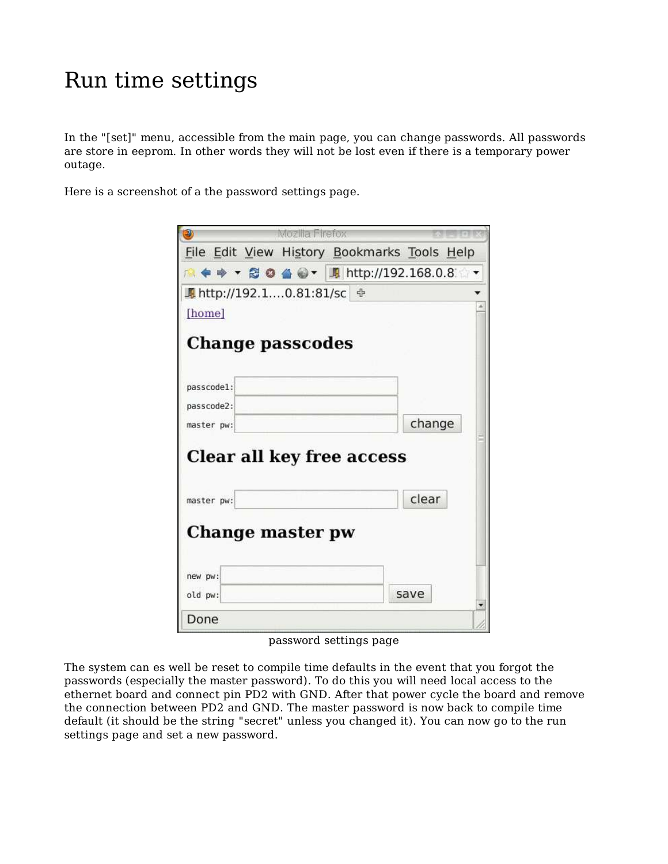#### Run time settings

In the "[set]" menu, accessible from the main page, you can change passwords. All passwords are store in eeprom. In other words they will not be lost even if there is a temporary power outage.

Here is a screenshot of a the password settings page.

|            | Mozilla Firefox                             |                                               |
|------------|---------------------------------------------|-----------------------------------------------|
|            | File Edit View History Bookmarks Tools Help |                                               |
|            |                                             | <b>A ◆ ≫ ▼ @ ● ④ ● ▼ 周 http://192.168.0.8</b> |
|            | ■ http://192.10.81:81/sc +                  |                                               |
| [home]     |                                             |                                               |
|            | <b>Change passcodes</b>                     |                                               |
| passcode1: |                                             |                                               |
| passcode2: |                                             |                                               |
| master pw: |                                             | change                                        |
|            | Clear all key free access                   |                                               |
| master pw: |                                             | clear                                         |
|            | Change master pw                            |                                               |
| new pw:    |                                             |                                               |
| old pw:    |                                             | save                                          |
| Done       |                                             |                                               |
|            |                                             |                                               |

password settings page

The system can es well be reset to compile time defaults in the event that you forgot the passwords (especially the master password). To do this you will need local access to the ethernet board and connect pin PD2 with GND. After that power cycle the board and remove the connection between PD2 and GND. The master password is now back to compile time default (it should be the string "secret" unless you changed it). You can now go to the run settings page and set a new password.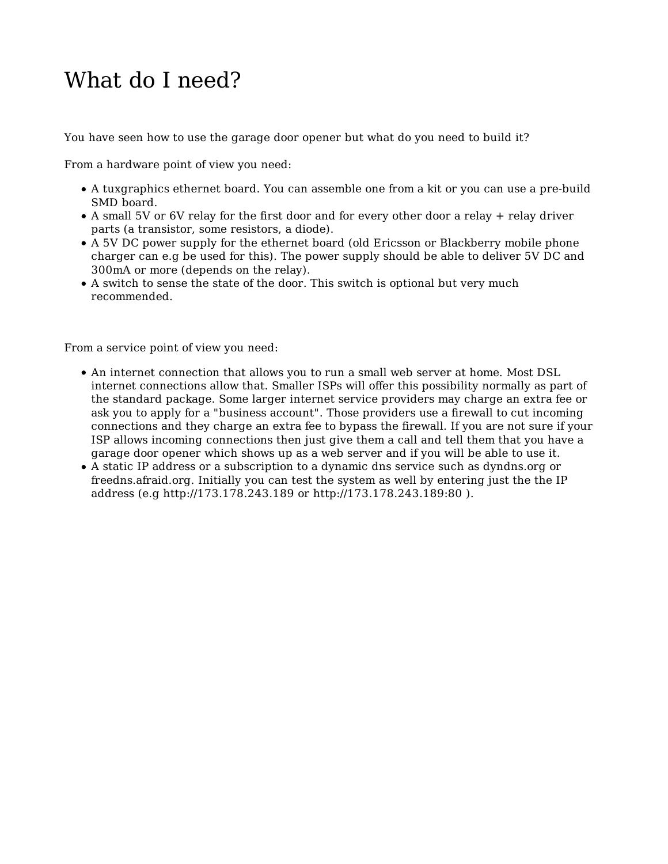#### What do I need?

You have seen how to use the garage door opener but what do you need to build it?

From a hardware point of view you need:

- A tuxgraphics ethernet board. You can assemble one from a kit or you can use a pre-build SMD board.
- A small 5V or 6V relay for the first door and for every other door a relay + relay driver parts (a transistor, some resistors, a diode).
- A 5V DC power supply for the ethernet board (old Ericsson or Blackberry mobile phone charger can e.g be used for this). The power supply should be able to deliver 5V DC and 300mA or more (depends on the relay).
- A switch to sense the state of the door. This switch is optional but very much recommended.

From a service point of view you need:

- An internet connection that allows you to run a small web server at home. Most DSL internet connections allow that. Smaller ISPs will offer this possibility normally as part of the standard package. Some larger internet service providers may charge an extra fee or ask you to apply for a "business account". Those providers use a firewall to cut incoming connections and they charge an extra fee to bypass the firewall. If you are not sure if your ISP allows incoming connections then just give them a call and tell them that you have a garage door opener which shows up as a web server and if you will be able to use it.
- A static IP address or a subscription to a dynamic dns service such as dyndns.org or freedns.afraid.org. Initially you can test the system as well by entering just the the IP address (e.g http://173.178.243.189 or http://173.178.243.189:80 ).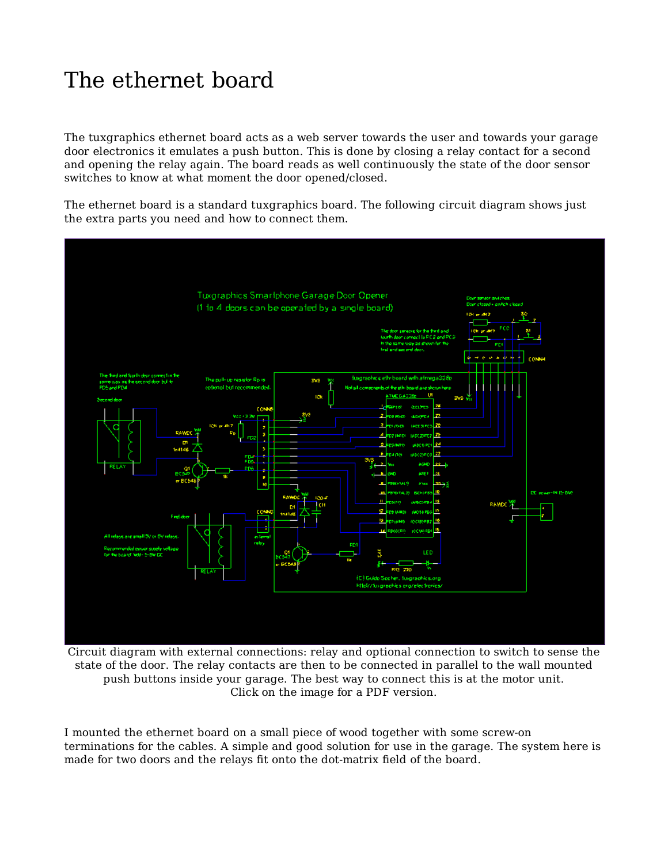# The ethernet board

The tuxgraphics ethernet board acts as a web server towards the user and towards your garage door electronics it emulates a push button. This is done by closing a relay contact for a second and opening the relay again. The board reads as well continuously the state of the door sensor switches to know at what moment the door opened/closed.

The ethernet board is a standard tuxgraphics board. The following circuit diagram shows just the extra parts you need and how to connect them.



Circuit diagram with external connections: relay and optional connection to switch to sense the state of the door. The relay contacts are then to be connected in parallel to the wall mounted push buttons inside your garage. The best way to connect this is at the motor unit. Click on the image for a PDF version.

I mounted the ethernet board on a small piece of wood together with some screw-on terminations for the cables. A simple and good solution for use in the garage. The system here is made for two doors and the relays fit onto the dot-matrix field of the board.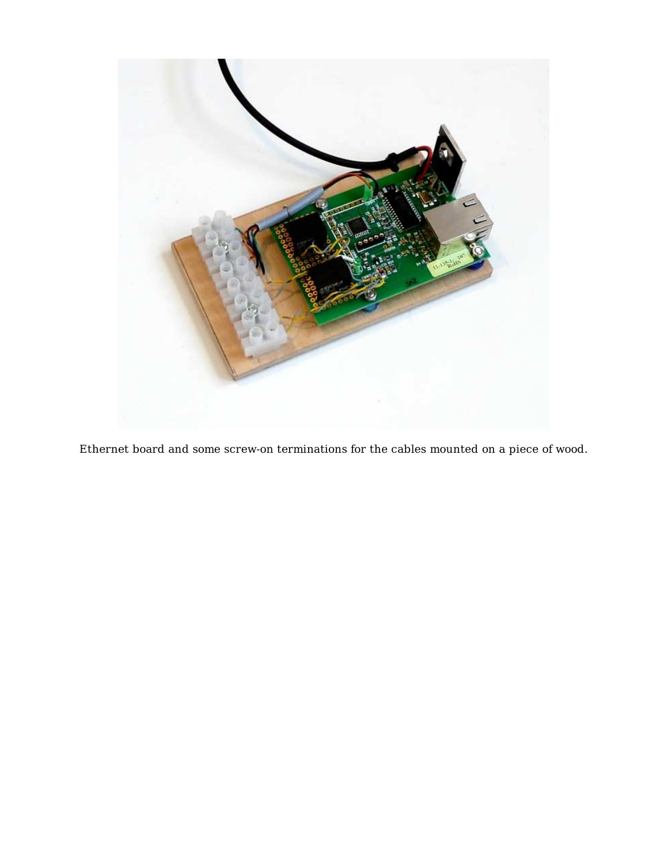

Ethernet board and some screw-on terminations for the cables mounted on a piece of wood.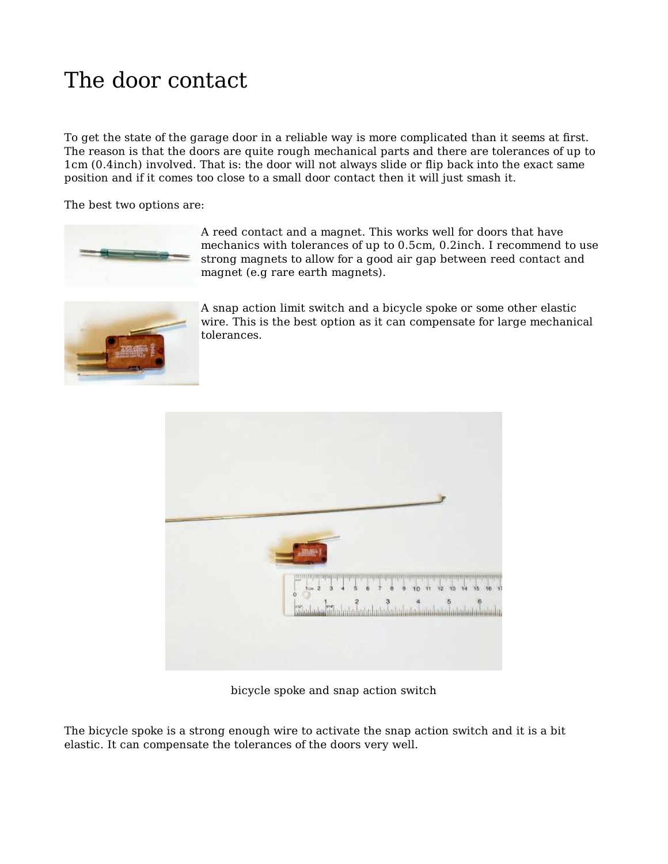# The door contact

To get the state of the garage door in a reliable way is more complicated than it seems at first. The reason is that the doors are quite rough mechanical parts and there are tolerances of up to 1cm (0.4inch) involved. That is: the door will not always slide or flip back into the exact same position and if it comes too close to a small door contact then it will just smash it.

The best two options are:



A reed contact and a magnet. This works well for doors that have mechanics with tolerances of up to 0.5cm, 0.2inch. I recommend to use strong magnets to allow for a good air gap between reed contact and magnet (e.g rare earth magnets).



A snap action limit switch and a bicycle spoke or some other elastic wire. This is the best option as it can compensate for large mechanical tolerances.



bicycle spoke and snap action switch

The bicycle spoke is a strong enough wire to activate the snap action switch and it is a bit elastic. It can compensate the tolerances of the doors very well.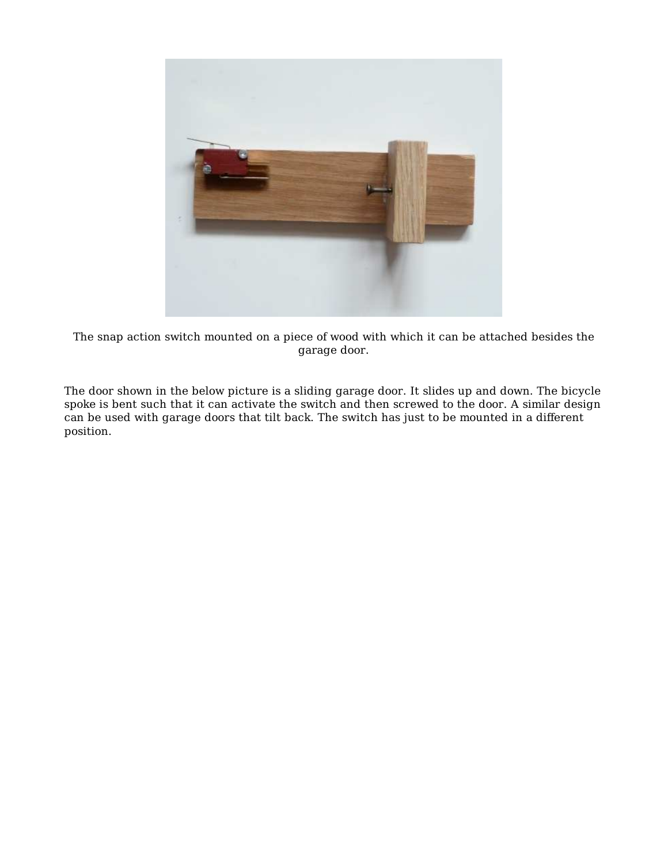

The snap action switch mounted on a piece of wood with which it can be attached besides the garage door.

The door shown in the below picture is a sliding garage door. It slides up and down. The bicycle spoke is bent such that it can activate the switch and then screwed to the door. A similar design can be used with garage doors that tilt back. The switch has just to be mounted in a different position.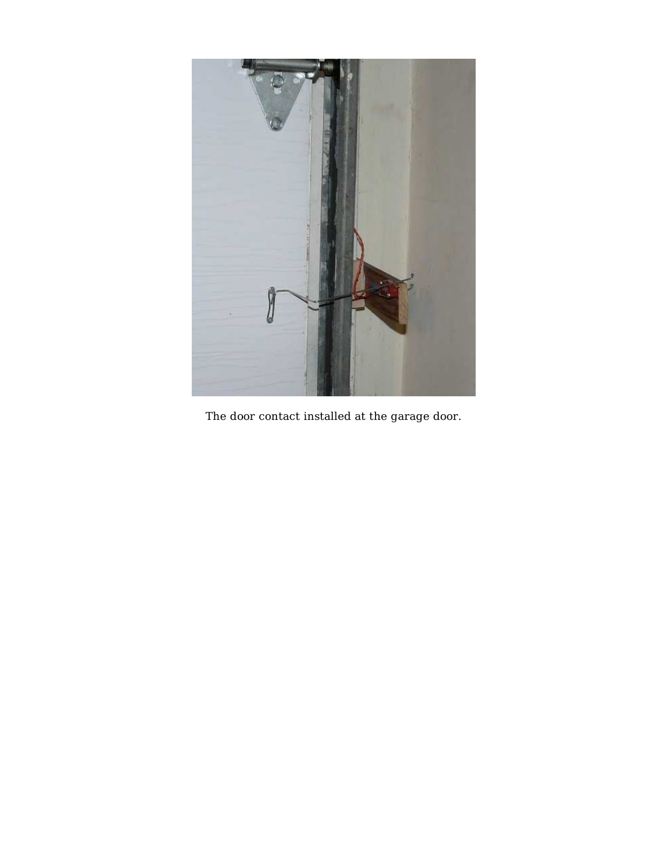

The door contact installed at the garage door.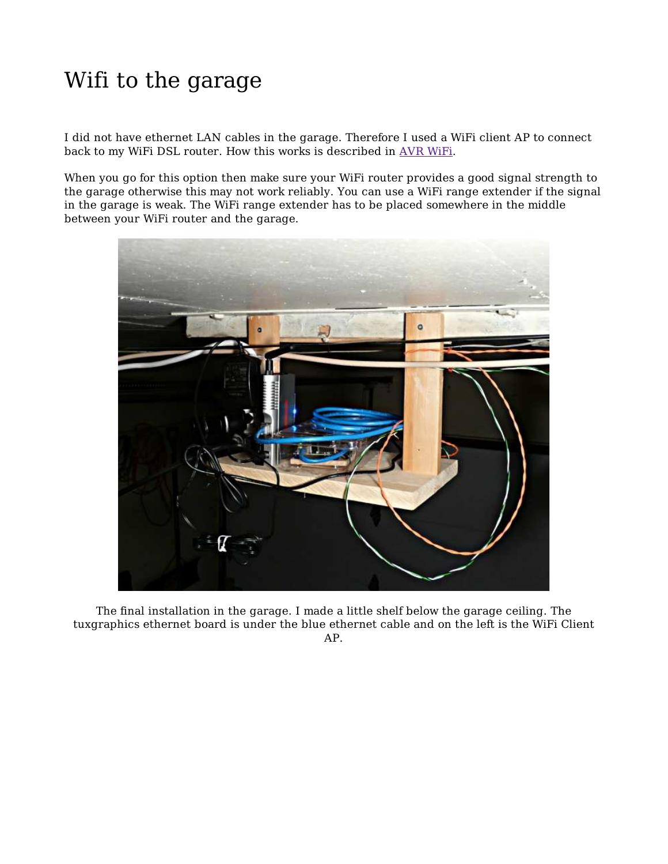# Wifi to the garage

I did not have ethernet LAN cables in the garage. Therefore I used a WiFi client AP to connect back to my WiFi DSL router. How this works is described in AVR WiFi.

When you go for this option then make sure your WiFi router provides a good signal strength to the garage otherwise this may not work reliably. You can use a WiFi range extender if the signal in the garage is weak. The WiFi range extender has to be placed somewhere in the middle between your WiFi router and the garage.



The final installation in the garage. I made a little shelf below the garage ceiling. The tuxgraphics ethernet board is under the blue ethernet cable and on the left is the WiFi Client AP.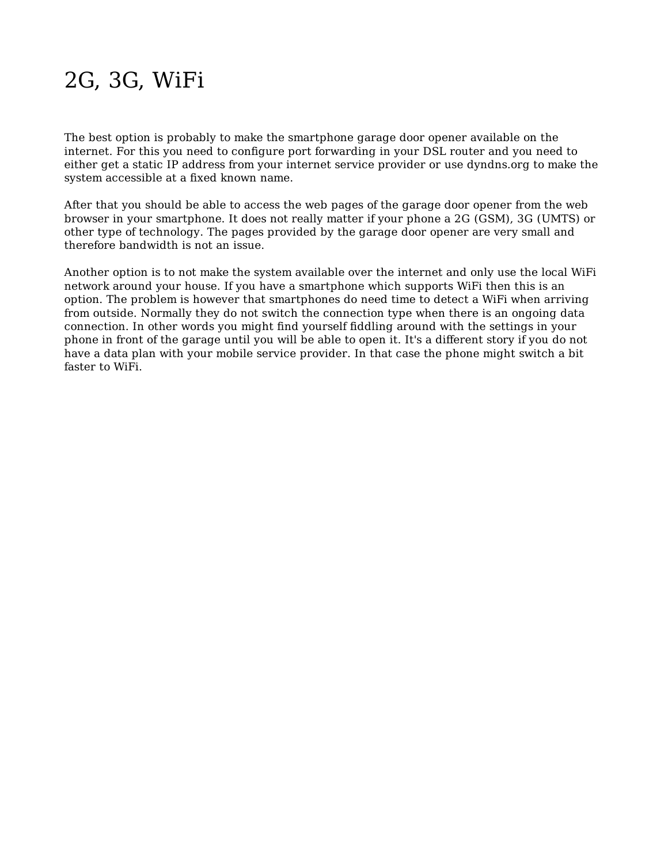# 2G, 3G, WiFi

The best option is probably to make the smartphone garage door opener available on the internet. For this you need to configure port forwarding in your DSL router and you need to either get a static IP address from your internet service provider or use dyndns.org to make the system accessible at a fixed known name.

After that you should be able to access the web pages of the garage door opener from the web browser in your smartphone. It does not really matter if your phone a 2G (GSM), 3G (UMTS) or other type of technology. The pages provided by the garage door opener are very small and therefore bandwidth is not an issue.

Another option is to not make the system available over the internet and only use the local WiFi network around your house. If you have a smartphone which supports WiFi then this is an option. The problem is however that smartphones do need time to detect a WiFi when arriving from outside. Normally they do not switch the connection type when there is an ongoing data connection. In other words you might find yourself fiddling around with the settings in your phone in front of the garage until you will be able to open it. It's a different story if you do not have a data plan with your mobile service provider. In that case the phone might switch a bit faster to WiFi.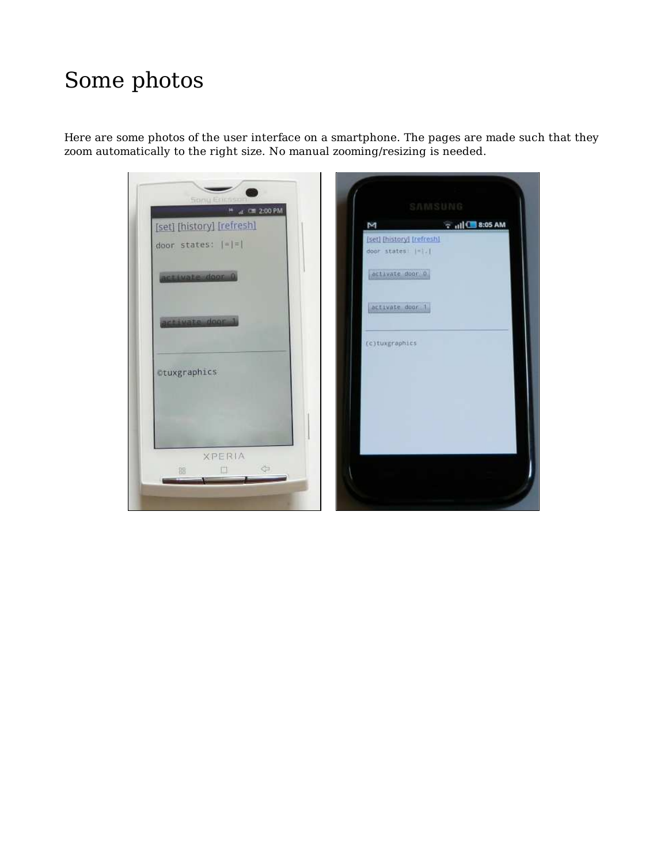#### Some photos

Here are some photos of the user interface on a smartphone. The pages are made such that they zoom automatically to the right size. No manual zooming/resizing is needed.

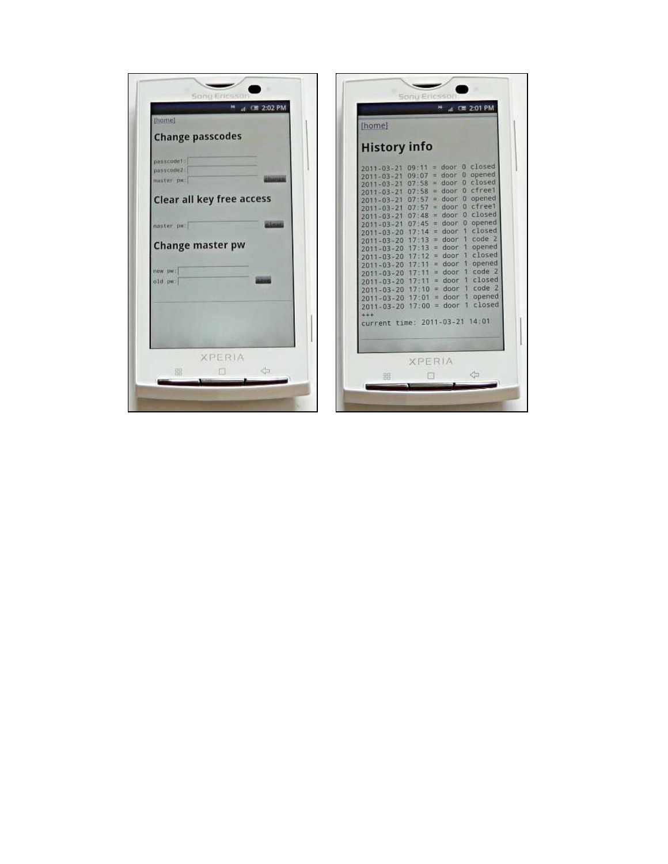| <b>fhome!</b>                                                                                                                                    |                                              | [home]                                                                                                                                                                                                                                                                                                                                                                                                                                                                                                                                                                                                                                                                                                                                                                                                 |                                                                                                  |
|--------------------------------------------------------------------------------------------------------------------------------------------------|----------------------------------------------|--------------------------------------------------------------------------------------------------------------------------------------------------------------------------------------------------------------------------------------------------------------------------------------------------------------------------------------------------------------------------------------------------------------------------------------------------------------------------------------------------------------------------------------------------------------------------------------------------------------------------------------------------------------------------------------------------------------------------------------------------------------------------------------------------------|--------------------------------------------------------------------------------------------------|
| <b>Change passcodes</b>                                                                                                                          |                                              | <b>History info</b>                                                                                                                                                                                                                                                                                                                                                                                                                                                                                                                                                                                                                                                                                                                                                                                    |                                                                                                  |
| passcode1:<br>passcode2<br>master par<br><b>Clear all key free access</b><br>master pw:<br><b>Change master pw</b><br>new <b>DW</b> :<br>old pw: | <b>Jaaruus</b><br><b>Stand</b><br><b>AMP</b> | $2011 - 03 - 21$ 09:11 = door 0 closed<br>$09:07 = door 0 opened$<br>2011-03-21<br>$= door$ $0$ $close$<br>07:58<br>$2011 - 03 - 21$<br>$= door 0 cfree1$<br>07:58<br>$2011 - 03 - 21$<br>$2011 - 03 - 21$ 07:57 = door 0 opened<br>$07:57 = door 0 cfree1$<br>$2011 - 03 - 21$<br>$07:48 = door 0 closed$<br>$2011 - 03 - 21$<br>$07:45 = door 0 opened$<br>$2011 - 03 - 21$<br>$17:14 =$ door<br>$2011 - 03 - 20$<br>$17 - 13 =$ door<br>$2011 - 03 - 20$<br>$17 \cdot 13 =$ door<br>$2011 - 03 - 20$<br>$=$ door<br>$17 - 12$<br>$2011 - 03 - 20$<br>$= door$<br>$2011 - 03 - 20$<br>$=$ door<br>$2011 - 03 - 20$<br>$=$ door<br>$2011 - 03 - 20$<br>$17:10 = door$<br>$2011 - 03 - 20$<br>$2011 - 03 - 20$ 17:01 = door<br>$2011 - 03 - 20$ 17:00 = door<br>$++$<br>current time: 2011-03-21 14:01 | closed<br>code 2<br>opened<br>closed<br>opened<br>code 2<br>closed<br>code 2<br>opened<br>closed |
| <b>XPERIA</b>                                                                                                                                    |                                              | <b>XPERIA</b>                                                                                                                                                                                                                                                                                                                                                                                                                                                                                                                                                                                                                                                                                                                                                                                          |                                                                                                  |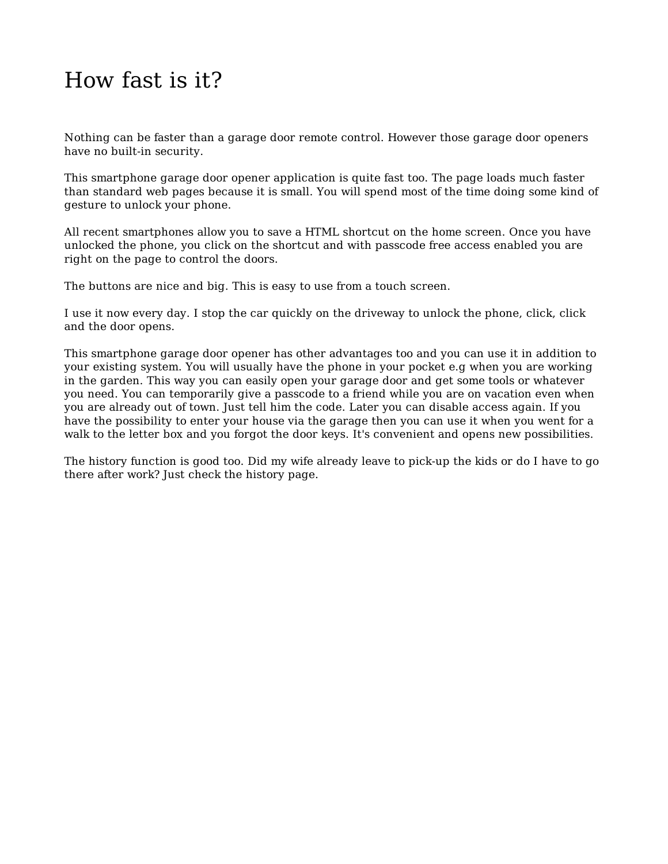#### How fast is it?

Nothing can be faster than a garage door remote control. However those garage door openers have no built-in security.

This smartphone garage door opener application is quite fast too. The page loads much faster than standard web pages because it is small. You will spend most of the time doing some kind of gesture to unlock your phone.

All recent smartphones allow you to save a HTML shortcut on the home screen. Once you have unlocked the phone, you click on the shortcut and with passcode free access enabled you are right on the page to control the doors.

The buttons are nice and big. This is easy to use from a touch screen.

I use it now every day. I stop the car quickly on the driveway to unlock the phone, click, click and the door opens.

This smartphone garage door opener has other advantages too and you can use it in addition to your existing system. You will usually have the phone in your pocket e.g when you are working in the garden. This way you can easily open your garage door and get some tools or whatever you need. You can temporarily give a passcode to a friend while you are on vacation even when you are already out of town. Just tell him the code. Later you can disable access again. If you have the possibility to enter your house via the garage then you can use it when you went for a walk to the letter box and you forgot the door keys. It's convenient and opens new possibilities.

The history function is good too. Did my wife already leave to pick-up the kids or do I have to go there after work? Just check the history page.